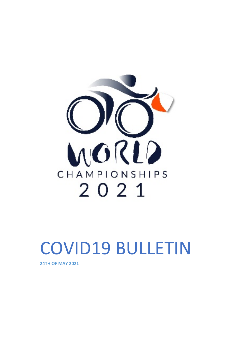

# COVID19 BULLETIN

**24TH OF MAY 2021**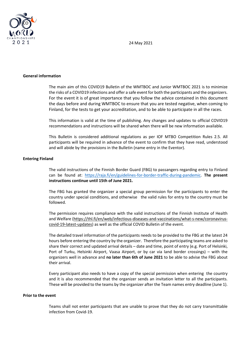24 May 2021



## **General information**

The main aim of this COVID19 Bulletin of the WMTBOC and Junior WMTBOC 2021 is to minimize the risks of a COVID19 infections and offer a safe event for both the participants and the organizers. For the event it is of great importance that you follow the advice contained in this document the days before and during WMTBOC to ensure that you are tested negative, when coming to Finland, for the tests to get your accreditation, and to be able to participate in all the races.

This information is valid at the time of publishing. Any changes and updates to official COVID19 recommendations and instructions will be shared when there will be new information available.

This Bulletin is considered additional regulations as per IOF MTBO Competition Rules 2.5. All participants will be required in advance of the event to confirm that they have read, understood and will abide by the provisions in the Bulletin (name entry in the Eventor).

## **Entering Finland**

The valid instructions of the Finnish Border Guard (FBG) to passangers regarding entry to Finland can be found at: [https://raja.fi/en/guidelines-for-border-traffic-during-pandemic.](https://raja.fi/en/guidelines-for-border-traffic-during-pandemic) **The present instructions continue until 15th of June 2021.**

The FBG has granted the organizer a special group permission for the participants to enter the country under special conditions, and otherwise the valid rules for entry to the country must be followed.

The permission requires compliance with the valid instructions of the Finnish Institute of Health and Welfare [\(https://thl.fi/en/web/infectious-diseases-and-vaccinations/what-s-new/coronavirus](https://thl.fi/en/web/infectious-diseases-and-vaccinations/what-s-new/coronavirus-covid-19-latest-updates)[covid-19-latest-updates\)](https://thl.fi/en/web/infectious-diseases-and-vaccinations/what-s-new/coronavirus-covid-19-latest-updates) as well as the official COVID Bulletin of the event.

The detailed travel information of the participants needs to be provided to the FBG at the latest 24 hours before entering the country by the organizer. Therefore the participating teams are asked to share their correct and updated arrival details – date and time, point of entry (e.g. Port of Helsinki, Port of Turku, Helsinki Airport, Vaasa Airport, or by car via land border crossings) – with the organizers well in advance and **no later than 6th of June 2021** to be able to advise the FBG about their arrival.

Every participant also needs to have a copy of the special permission when entering the country and it is also recommended that the organizer sends an invitation letter to all the participants. These will be provided to the teams by the organizer after the Team names entry deadline (June 1).

#### **Prior to the event**

Teams shall not enter participants that are unable to prove that they do not carry transmittable infection from Covid-19.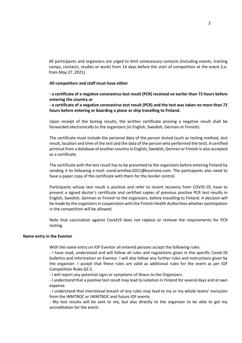All participants and organizers are urged to limit unnecessary contacts (including events, training camps, contacts, studies or work) from 14 days before the start of competition at the event (i.e. from May 27 ,2021).

## **All competitors and staff must have either**

# **- a certificate of a negative coronavirus test result (PCR) received no earlier than 72 hours before entering the country or**

**- a certificate of a negative coronavirus test result (PCR) and the test was taken no more than 72 hours before entering or boarding a plane or ship travelling to Finland.**

Upon receipt of the testing results, the written certificate proving a negative result shall be forwarded electronically to the organizers (in English, Swedish, German or Finnish).

The certificate must include the personal data of the person tested (such as testing method, test result, location and time of the test and the data of the person who performed the test). A certified printout from a database of another country in English, Swedish, German or Finnish is also accepted as a certificate.

The certificate with the test result has to be presented to the organizers before entering Finland by sending it to following e-mail: covid.wmtboc2021@kuortane.com. The participants also need to have a paper copy of the certificate with them for the border control.

Participants whose test result is positive and refer to recent recovery from COVID-19, have to present a signed doctor's certificate and certified copies of previous positive PCR test results in English, Swedish, German or Finnish to the organizers, before travelling to Finland. A decision will be made by the organizers in cooperation with the Finnish Health Authorities whether participation in the competition will be allowed.

Note that vaccination against Covid19 does not replace or remove the requirements for PCR testing.

#### **Name entry in the Eventor**

With the name entry on IOF Eventor all entered persons accept the following rules:

- I have read, understood and will follow all rules and regulations given in the specific Covid-19 bulletins and information on Eventor. I will also follow any further rules and instructions given by the organizer. I accept that these rules are valid as additional rules for the event as per IOF Competition Rules §2.5.

- I will report any potential signs or symptoms of illness to the Organizers.

- I understand that a positive test result may lead to isolation in Finland for several days and at own expense.

- I understand that intentional breach of any rules may lead to my or my whole teams' exclusion from the WMTBOC or JWMTBOC and future IOF events.

- My test results will be sent to me, but also directly to the organizer to be able to get my accreditation for the event.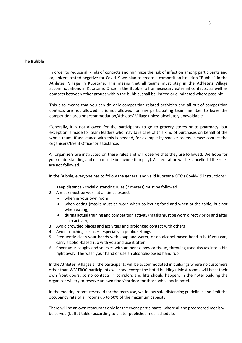## **The Bubble**

In order to reduce all kinds of contacts and minimize the risk of infection among participants and organizers tested negative for Covid19 we plan to create a competition isolation "Bubble" in the Athletes' Village in Kuortane. This means that all teams must stay in the Athlete's Village accommodations in Kuortane. Once in the Bubble, all unnecessary external contacts, as well as contacts between other groups within the bubble, shall be limited or eliminated where possible.

This also means that you can do only competition-related activities and all out-of-competition contacts are not allowed. It is not allowed for any participating team member to leave the competition area or accommodation/Athletes' Village unless absolutely unavoidable.

Generally, it is not allowed for the participants to go to grocery stores or to pharmacy, but exception is made for team leaders who may take care of this kind of purchases on behalf of the whole team. If assistance with this is needed, for example by smaller teams, please contact the organisers/Event Office for assistance.

All organizers are instructed on these rules and will observe that they are followed. We hope for your understanding and responsible behaviour (fair play). Accreditation will be cancelled if the rules are not followed.

In the Bubble, everyone has to follow the general and valid Kuortane OTC's Covid-19 instructions:

- 1. Keep distance social distancing rules (2 meters) must be followed
- 2. A mask must be worn at all times expect
	- when in your own room
		- when eating (masks must be worn when collecting food and when at the table, but not when eating)
	- during actual training and competition activity (masks must be worn directly prior and after such activity)
- 3. Avoid crowded places and activities and prolonged contact with others
- 4. Avoid touching surfaces, especially in public settings
- 5. Frequently clean your hands with soap and water, or an alcohol-based hand rub. If you can, carry alcohol-based rub with you and use it often.
- 6. Cover your coughs and sneezes with an bent elbow or tissue, throwing used tissues into a bin right away. The wash your hand or use an alcoholic-based hand rub

In the Athletes' Villages all the participants will be accommodated in buildings where no customers other than WMTBOC participants will stay (except the hotel building). Most rooms will have their own front doors, so no contacts in corridors and lifts should happen. In the hotel building the organizer will try to reserve an own floor/corridor for those who stay in hotel.

In the meeting rooms reserved for the team use, we follow safe distancing guidelines and limit the occupancy rate of all rooms up to 50% of the maximum capacity.

There will be an own restaurant only for the event participants, where all the preordered meals will be served (buffet table) according to a later published meal schedule.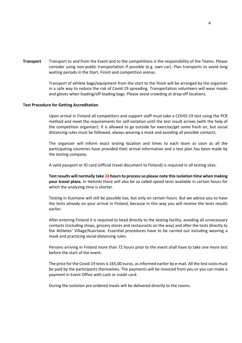**Transport** Transport to and from the Event and to the competitions is the responsibility of the Teams. Please consider using non-public transportation if possible (e.g. own car). Plan transports to avoid long waiting periods in the Start, Finish and competition arenas.

> Transport of athlete bags/equipment from the start to the finish will be arranged by the organiser in a safe way to reduce the risk of Covid-19 spreading. Transportation volunteers will wear masks and gloves when loading/off-loading bags. Please avoid crowding at drop-off locations.

## **Test Procedure for Getting Accreditation**

Upon arrival in Finland all competitors and support staff must take a COVID-19 test using the PCR method and meet the requirements for self-isolation until the test result arrives (with the help of the competition organizer). It is allowed to go outside for exercise/get some fresh air, but social distancing rules must be followed, always wearing a mask and avoiding all possible contacts.

The organizer will inform exact testing location and times to each team as soon as all the participating countries have provided their arrival information and a test plan has been made by the testing company.

A valid passport or ID card (official travel document to Finland) is required in all testing sites.

**Test results will normally take 24 hours to process so please note this isolation time when making your travel plans.** In Helsinki there will also be so called speed tests available in certain hours for which the analyzing time is shorter.

Testing in Kuortane will still be possible too, but only on certain hours. But we advice you to have the tests already on your arrival in Finland, because in this way you will receive the tests results earlier.

After entering Finland it is required to head directly to the testing facility, avoiding all unnecessary contacts (including shops, grocery stores and restaurants on the way) and after the tests directly to the Athletes' Village/Kuortane. Essential procedures have to be carried out including wearing a mask and practicing social distancing rules.

Persons arriving in Finland more than 72 hours prior to the event shall have to take one more test before the start of the event.

The price for the Covid-19 tests is 165,00 euros, asinformed earlier by e-mail. All the test costs must be paid by the participants themselves. The payments will be invoiced from you or you can make a payment in Event Office with cash or credit card.

During the isolation pre-ordered meals will be delivered directly to the rooms.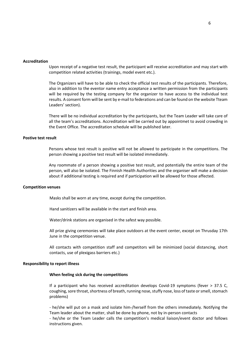#### **Accreditation**

Upon receipt of a negative test result, the participant will receive accreditation and may start with competition related activities (trainings, model event etc.).

The Organizers will have to be able to check the official test results of the participants. Therefore, also in addition to the eventor name entry acceptance a written permission from the participants will be required by the testing company for the organizer to have access to the individual test results. A consent form will be sent by e-mail to federations and can be found on the website Tteam Leaders' section).

There will be no individual accreditation by the participants, but the Team Leader will take care of all the team's accreditations. Accreditation will be carried out by appointmet to avoid crowding in the Event Office. The accreditation schedule will be published later.

## **Postive test result**

Persons whose test result is positive will not be allowed to participate in the competitions. The person showing a positive test result will be isolated immediately.

Any roommate of a person showing a positive test result, and potentially the entire team of the person, will also be isolated. The Finnish Health Authorities and the organiser will make a decision about if additional testing is required and if participation will be allowed for those affected.

#### **Competition venues**

Masks shall be worn at any time, except during the competition.

Hand sanitizers will be available in the start and finish area.

Water/drink stations are organised in the safest way possible.

All prize giving ceremonies will take place outdoors at the event center, except on Thrusday 17th June in the competition venue.

All contacts with competition staff and competitors will be minimized (social distancing, short contacts, use of plexigass barriers etc.)

#### **Responsibility to report illness**

#### **When feeling sick during the competitions**

If a participant who has received accreditation develops Covid-19 symptoms (fever > 37.5 C, coughing, sore throat, shortness of breath, running nose, stuffy nose, loss of taste or smell, stomach problems)

- he/she will put on a mask and isolate him-/herself from the others immediately. Notifying the Team leader about the matter, shall be done by phone, not by in-person contacts

- he/she or the Team Leader calls the competition's medical liaison/event doctor and follows instructions given.